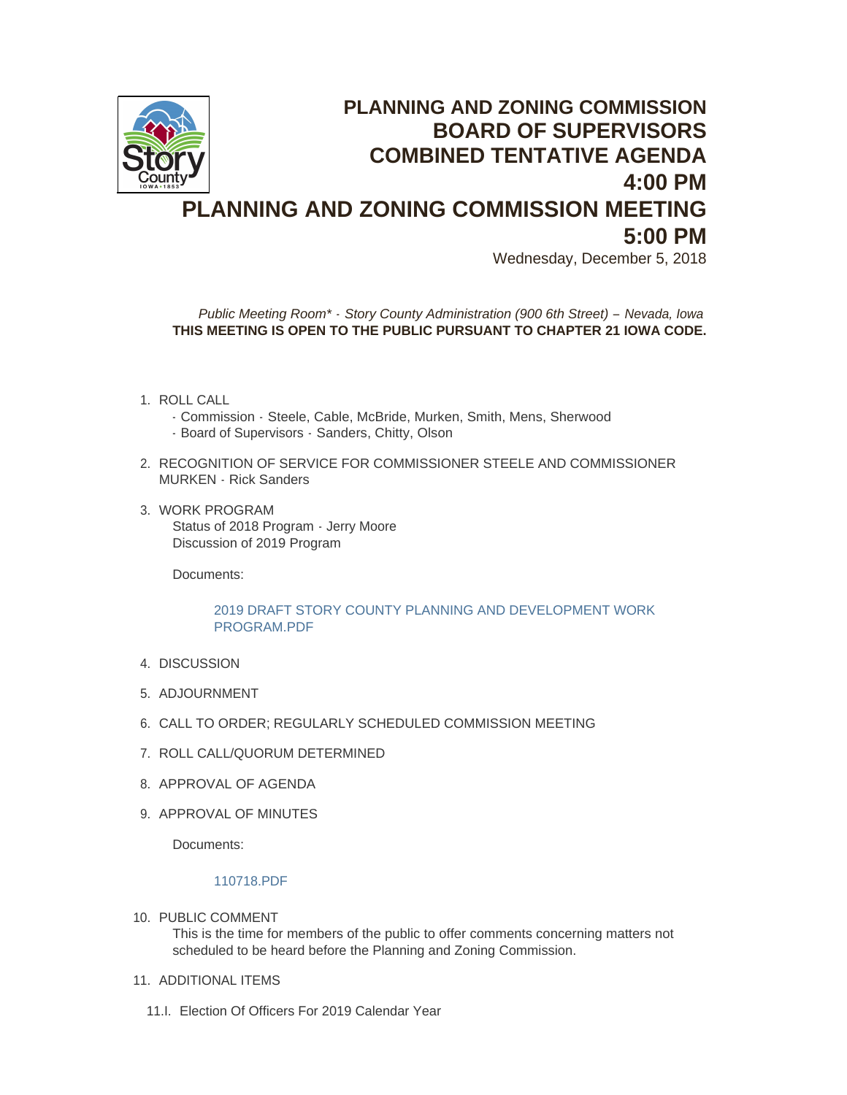

# **PLANNING AND ZONING COMMISSION BOARD OF SUPERVISORS COMBINED TENTATIVE AGENDA 4:00 PM PLANNING AND ZONING COMMISSION MEETING 5:00 PM**

Wednesday, December 5, 2018

*Public Meeting Room\* - Story County Administration (900 6th Street) – Nevada, Iowa* **THIS MEETING IS OPEN TO THE PUBLIC PURSUANT TO CHAPTER 21 IOWA CODE.**

- 1. ROLL CALL
	- Commission Steele, Cable, McBride, Murken, Smith, Mens, Sherwood
	- Board of Supervisors Sanders, Chitty, Olson
- 2. RECOGNITION OF SERVICE FOR COMMISSIONER STEELE AND COMMISSIONER MURKEN - Rick Sanders
- 3. WORK PROGRAM Status of 2018 Program - Jerry Moore Discussion of 2019 Program

Documents:

## [2019 DRAFT STORY COUNTY PLANNING AND DEVELOPMENT WORK](http://www.storycountyiowa.gov/AgendaCenter/ViewFile/Item/13311?fileID=10236)  PROGRAM.PDF

- 4. DISCUSSION
- 5. ADJOURNMENT
- 6. CALL TO ORDER; REGULARLY SCHEDULED COMMISSION MEETING
- 7. ROLL CALL/QUORUM DETERMINED
- 8. APPROVAL OF AGENDA
- 9. APPROVAL OF MINUTES

Documents:

## [110718.PDF](http://www.storycountyiowa.gov/AgendaCenter/ViewFile/Item/13300?fileID=10235)

- 10. PUBLIC COMMENT This is the time for members of the public to offer comments concerning matters not scheduled to be heard before the Planning and Zoning Commission.
- 11. ADDITIONAL ITEMS
	- 11.I. Election Of Officers For 2019 Calendar Year